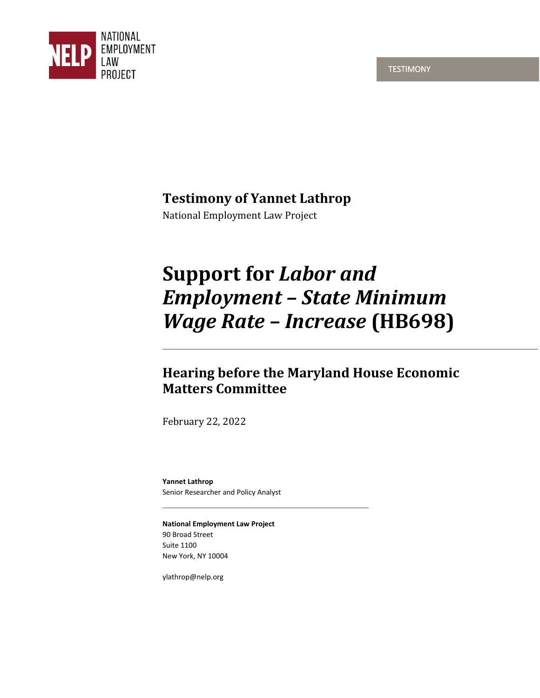**TESTIMONY** 



# **Testimony of Yannet Lathrop**

National Employment Law Project

# **Support for** *Labor and Employment – State Minimum Wage Rate – Increase* **(HB698)**

## **Hearing before the Maryland House Economic Matters Committee**

February 22, 2022

**Yannet Lathrop**  Senior Researcher and Policy Analyst

**National Employment Law Project**  90 Broad Street Suite 1100 New York, NY 10004

ylathrop@nelp.org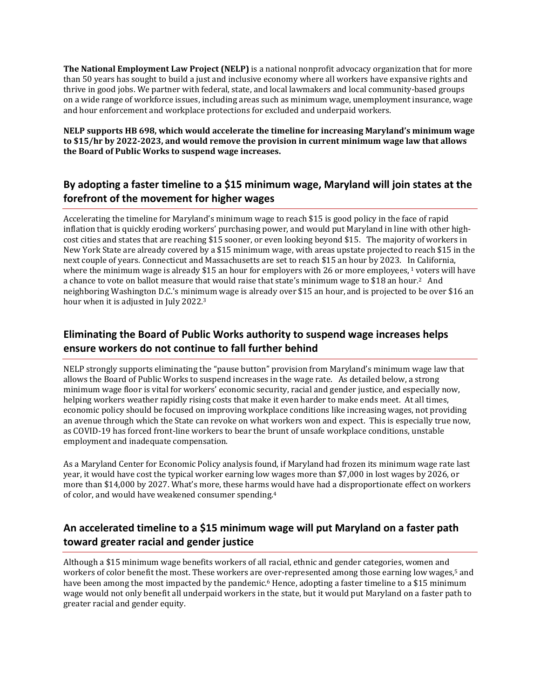**The National Employment Law Project (NELP)** is a national nonprofit advocacy organization that for more than 50 years has sought to build a just and inclusive economy where all workers have expansive rights and thrive in good jobs. We partner with federal, state, and local lawmakers and local community-based groups on a wide range of workforce issues, including areas such as minimum wage, unemployment insurance, wage and hour enforcement and workplace protections for excluded and underpaid workers.

**NELP supports HB 698, which would accelerate the timeline for increasing Maryland's minimum wage to \$15/hr by 2022-2023, and would remove the provision in current minimum wage law that allows the Board of Public Works to suspend wage increases.** 

#### **By adopting a faster timeline to a \$15 minimum wage, Maryland will join states at the forefront of the movement for higher wages**

Accelerating the timeline for Maryland's minimum wage to reach \$15 is good policy in the face of rapid inflation that is quickly eroding workers' purchasing power, and would put Maryland in line with other highcost cities and states that are reaching \$15 sooner, or even looking beyond \$15. The majority of workers in New York State are already covered by a \$15 minimum wage, with areas upstate projected to reach \$15 in the next couple of years. Connecticut and Massachusetts are set to reach \$15 an hour by 2023. In California, where the minimum wage is already \$15 an hour for employers with 26 or more employees,<sup>1</sup> voters will have a chance to vote on ballot measure that would raise that state's minimum wage to \$18 an hour.<sup>2</sup> And neighboring Washington D.C.'s minimum wage is already over \$15 an hour, and is projected to be over \$16 an hour when it is adjusted in July 2022.<sup>3</sup>

### **Eliminating the Board of Public Works authority to suspend wage increases helps ensure workers do not continue to fall further behind**

NELP strongly supports eliminating the "pause button" provision from Maryland's minimum wage law that allows the Board of Public Works to suspend increases in the wage rate. As detailed below, a strong minimum wage floor is vital for workers' economic security, racial and gender justice, and especially now, helping workers weather rapidly rising costs that make it even harder to make ends meet. At all times, economic policy should be focused on improving workplace conditions like increasing wages, not providing an avenue through which the State can revoke on what workers won and expect. This is especially true now, as COVID-19 has forced front-line workers to bear the brunt of unsafe workplace conditions, unstable employment and inadequate compensation.

As a Maryland Center for Economic Policy analysis found, if Maryland had frozen its minimum wage rate last year, it would have cost the typical worker earning low wages more than \$7,000 in lost wages by 2026, or more than \$14,000 by 2027. What's more, these harms would have had a disproportionate effect on workers of color, and would have weakened consumer spending.<sup>4</sup>

#### **An accelerated timeline to a \$15 minimum wage will put Maryland on a faster path toward greater racial and gender justice**

Although a \$15 minimum wage benefits workers of all racial, ethnic and gender categories, women and workers of color benefit the most. These workers are over-represented among those earning low wages,5 and have been among the most impacted by the pandemic.<sup>6</sup> Hence, adopting a faster timeline to a \$15 minimum wage would not only benefit all underpaid workers in the state, but it would put Maryland on a faster path to greater racial and gender equity.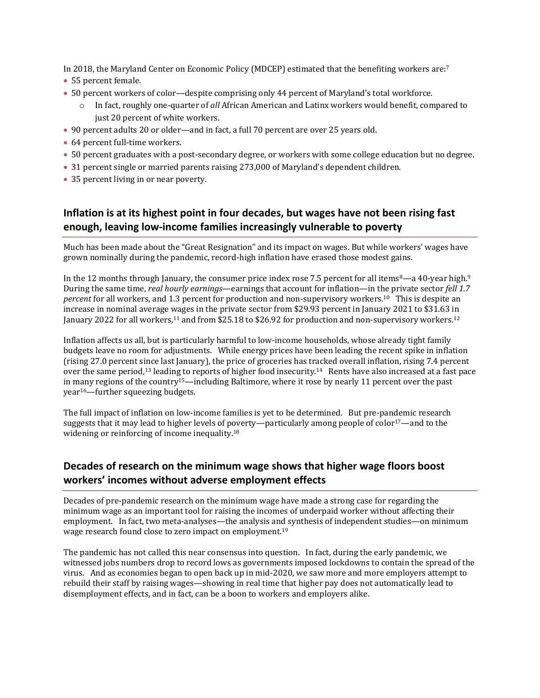In 2018, the Maryland Center on Economic Policy (MDCEP) estimated that the benefiting workers are:<sup>7</sup>

- 55 percent female.
- 50 percent workers of color—despite comprising only 44 percent of Maryland's total workforce.
	- o In fact, roughly one-quarter of *all* African American and Latinx workers would benefit, compared to just 20 percent of white workers.
- 90 percent adults 20 or older—and in fact, a full 70 percent are over 25 years old.
- 64 percent full-time workers.
- 50 percent graduates with a post-secondary degree, or workers with some college education but no degree.
- 31 percent single or married parents raising 273,000 of Maryland's dependent children.
- 35 percent living in or near poverty.

## **Inflation is at its highest point in four decades, but wages have not been rising fast enough, leaving low-income families increasingly vulnerable to poverty**

Much has been made about the "Great Resignation" and its impact on wages. But while workers' wages have grown nominally during the pandemic, record-high inflation have erased those modest gains.

In the 12 months through January, the consumer price index rose 7.5 percent for all items<sup>8</sup>—a 40-year high.<sup>9</sup> During the same time, *real hourly earnings*—earnings that account for inflation—in the private sector *fell 1.7 percent* for all workers, and 1.3 percent for production and non-supervisory workers.10 This is despite an increase in nominal average wages in the private sector from \$29.93 percent in January 2021 to \$31.63 in January 2022 for all workers,<sup>11</sup> and from \$25.18 to \$26.92 for production and non-supervisory workers.<sup>12</sup>

Inflation affects us all, but is particularly harmful to low-income households, whose already tight family budgets leave no room for adjustments. While energy prices have been leading the recent spike in inflation (rising 27.0 percent since last January), the price of groceries has tracked overall inflation, rising 7.4 percent over the same period,13 leading to reports of higher food insecurity.14 Rents have also increased at a fast pace in many regions of the country<sup>15</sup>—including Baltimore, where it rose by nearly 11 percent over the past year<sup>16</sup>—further squeezing budgets.

The full impact of inflation on low-income families is yet to be determined. But pre-pandemic research suggests that it may lead to higher levels of poverty—particularly among people of color<sup>17</sup>—and to the widening or reinforcing of income inequality.<sup>18</sup>

#### **Decades of research on the minimum wage shows that higher wage floors boost workers' incomes without adverse employment effects**

Decades of pre-pandemic research on the minimum wage have made a strong case for regarding the minimum wage as an important tool for raising the incomes of underpaid worker without affecting their employment. In fact, two meta-analyses—the analysis and synthesis of independent studies—on minimum wage research found close to zero impact on employment.<sup>19</sup>

The pandemic has not called this near consensus into question. In fact, during the early pandemic, we witnessed jobs numbers drop to record lows as governments imposed lockdowns to contain the spread of the virus. And as economies began to open back up in mid-2020, we saw more and more employers attempt to rebuild their staff by raising wages—showing in real time that higher pay does not automatically lead to disemployment effects, and in fact, can be a boon to workers and employers alike.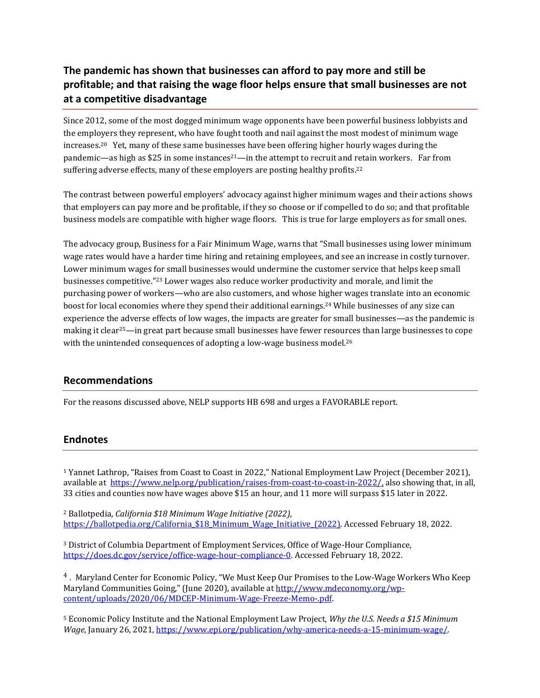#### **The pandemic has shown that businesses can afford to pay more and still be profitable; and that raising the wage floor helps ensure that small businesses are not at a competitive disadvantage**

Since 2012, some of the most dogged minimum wage opponents have been powerful business lobbyists and the employers they represent, who have fought tooth and nail against the most modest of minimum wage increases.20 Yet, many of these same businesses have been offering higher hourly wages during the pandemic—as high as  $$25$  in some instances<sup>21</sup>—in the attempt to recruit and retain workers. Far from suffering adverse effects, many of these employers are posting healthy profits.<sup>22</sup>

The contrast between powerful employers' advocacy against higher minimum wages and their actions shows that employers can pay more and be profitable, if they so choose or if compelled to do so; and that profitable business models are compatible with higher wage floors. This is true for large employers as for small ones.

The advocacy group, Business for a Fair Minimum Wage, warns that "Small businesses using lower minimum wage rates would have a harder time hiring and retaining employees, and see an increase in costly turnover. Lower minimum wages for small businesses would undermine the customer service that helps keep small businesses competitive." <sup>23</sup> Lower wages also reduce worker productivity and morale, and limit the purchasing power of workers—who are also customers, and whose higher wages translate into an economic boost for local economies where they spend their additional earnings.24 While businesses of any size can experience the adverse effects of low wages, the impacts are greater for small businesses—as the pandemic is making it clear<sup>25</sup>—in great part because small businesses have fewer resources than large businesses to cope with the unintended consequences of adopting a low-wage business model.<sup>26</sup>

#### **Recommendations**

For the reasons discussed above, NELP supports HB 698 and urges a FAVORABLE report.

#### **Endnotes**

<sup>1</sup> Yannet Lathrop, "Raises from Coast to Coast in 2022," National Employment Law Project (December 2021), available at <https://www.nelp.org/publication/raises-from-coast-to-coast-in-2022/,>also showing that, in all, 33 cities and counties now have wages above \$15 an hour, and 11 more will surpass \$15 later in 2022.

<sup>2</sup> Ballotpedia, *California \$18 Minimum Wage Initiative (2022)*, https://ballotpedia.org/California \$18 Minimum Wage Initiative (2022). Accessed February 18, 2022.

<sup>3</sup> District of Columbia Department of Employment Services, Office of Wage-Hour Compliance, [https://does.dc.gov/service/office-wage-hour-compliance-0.](https://does.dc.gov/service/office-wage-hour-compliance-0) Accessed February 18, 2022.

<sup>4</sup>. Maryland Center for Economic Policy, "We Must Keep Our Promises to the Low-Wage Workers Who Keep Maryland Communities Going," (June 2020), available at [http://www.mdeconomy.org/wp](http://www.mdeconomy.org/wp-content/uploads/2020/06/MDCEP-Minimum-Wage-Freeze-Memo-.pdf)[content/uploads/2020/06/MDCEP-Minimum-Wage-Freeze-Memo-.pdf.](http://www.mdeconomy.org/wp-content/uploads/2020/06/MDCEP-Minimum-Wage-Freeze-Memo-.pdf) 

<sup>5</sup> Economic Policy Institute and the National Employment Law Project, *Why the U.S. Needs a \$15 Minimum Wage*, January 26, 2021[, https://www.epi.org/publication/why-america-needs-a-15-minimum-wage/.](https://www.epi.org/publication/why-america-needs-a-15-minimum-wage/)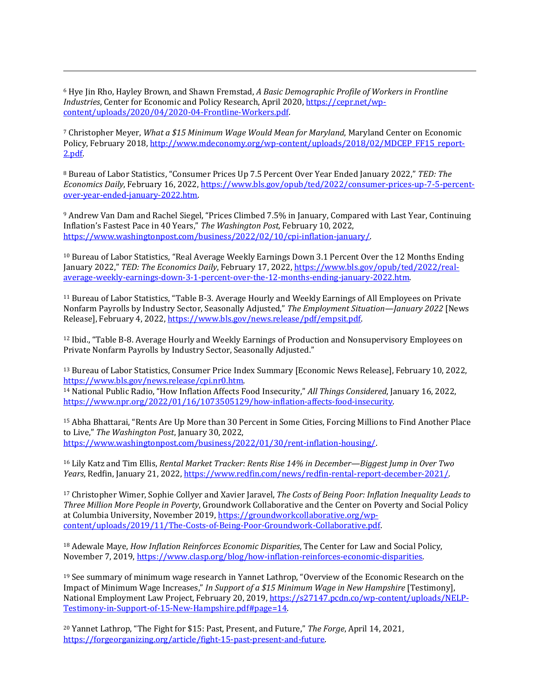<sup>6</sup> Hye Jin Rho, Hayley Brown, and Shawn Fremstad, *A Basic Demographic Profile of Workers in Frontline Industries*, Center for Economic and Policy Research, April 2020, [https://cepr.net/wp](https://cepr.net/wp-content/uploads/2020/04/2020-04-Frontline-Workers.pdf)[content/uploads/2020/04/2020-04-Frontline-Workers.pdf.](https://cepr.net/wp-content/uploads/2020/04/2020-04-Frontline-Workers.pdf) 

<sup>7</sup> Christopher Meyer, *What a \$15 Minimum Wage Would Mean for Maryland*, Maryland Center on Economic Policy, February 2018[, http://www.mdeconomy.org/wp-content/uploads/2018/02/MDCEP\\_FF15\\_report-](http://www.mdeconomy.org/wp-content/uploads/2018/02/MDCEP_FF15_report-2.pdf)[2.pdf.](http://www.mdeconomy.org/wp-content/uploads/2018/02/MDCEP_FF15_report-2.pdf) 

<sup>8</sup> Bureau of Labor Statistics, "Consumer Prices Up 7.5 Percent Over Year Ended January 2022," *TED: The Economics Daily*, February 16, 2022, [https://www.bls.gov/opub/ted/2022/consumer-prices-up-7-5-percent](https://www.bls.gov/opub/ted/2022/consumer-prices-up-7-5-percent-over-year-ended-january-2022.htm)[over-year-ended-january-2022.htm.](https://www.bls.gov/opub/ted/2022/consumer-prices-up-7-5-percent-over-year-ended-january-2022.htm)

<sup>9</sup> Andrew Van Dam and Rachel Siegel, "Prices Climbed 7.5% in January, Compared with Last Year, Continuing Inflation's Fastest Pace in 40 Years," *The Washington Post*, February 10, 2022, [https://www.washingtonpost.com/business/2022/02/10/cpi-inflation-january/.](https://www.washingtonpost.com/business/2022/02/10/cpi-inflation-january/) 

<sup>10</sup> Bureau of Labor Statistics, "Real Average Weekly Earnings Down 3.1 Percent Over the 12 Months Ending January 2022," *TED: The Economics Daily*, February 17, 2022, [https://www.bls.gov/opub/ted/2022/real](https://www.bls.gov/opub/ted/2022/real-average-weekly-earnings-down-3-1-percent-over-the-12-months-ending-january-2022.htm)[average-weekly-earnings-down-3-1-percent-over-the-12-months-ending-january-2022.htm.](https://www.bls.gov/opub/ted/2022/real-average-weekly-earnings-down-3-1-percent-over-the-12-months-ending-january-2022.htm) 

<sup>11</sup> Bureau of Labor Statistics, "Table B-3. Average Hourly and Weekly Earnings of All Employees on Private Nonfarm Payrolls by Industry Sector, Seasonally Adjusted," *The Employment Situation—January 2022* [News Release], February 4, 2022[, https://www.bls.gov/news.release/pdf/empsit.pdf.](https://www.bls.gov/news.release/pdf/empsit.pdf) 

<sup>12</sup> Ibid., "Table B-8. Average Hourly and Weekly Earnings of Production and Nonsupervisory Employees on Private Nonfarm Payrolls by Industry Sector, Seasonally Adjusted."

<sup>13</sup> Bureau of Labor Statistics, Consumer Price Index Summary [Economic News Release], February 10, 2022, [https://www.bls.gov/news.release/cpi.nr0.htm.](https://www.bls.gov/news.release/cpi.nr0.htm)

<sup>14</sup> National Public Radio, "How Inflation Affects Food Insecurity," *All Things Considered*, January 16, 2022, [https://www.npr.org/2022/01/16/1073505129/how-inflation-affects-food-insecurity.](https://www.npr.org/2022/01/16/1073505129/how-inflation-affects-food-insecurity) 

<sup>15</sup> Abha Bhattarai, "Rents Are Up More than 30 Percent in Some Cities, Forcing Millions to Find Another Place to Live," *The Washington Post*, January 30, 2022, [https://www.washingtonpost.com/business/2022/01/30/rent-inflation-housing/.](https://www.washingtonpost.com/business/2022/01/30/rent-inflation-housing/)

<sup>16</sup> Lily Katz and Tim Ellis, *Rental Market Tracker: Rents Rise 14% in December—Biggest Jump in Over Two Years*, Redfin, January 21, 2022, [https://www.redfin.com/news/redfin-rental-report-december-2021/.](https://www.redfin.com/news/redfin-rental-report-december-2021/) 

<sup>17</sup> Christopher Wimer, Sophie Collyer and Xavier Jaravel, *The Costs of Being Poor: Inflation Inequality Leads to Three Million More People in Poverty*, Groundwork Collaborative and the Center on Poverty and Social Policy at Columbia University, November 2019[, https://groundworkcollaborative.org/wp](https://groundworkcollaborative.org/wp-content/uploads/2019/11/The-Costs-of-Being-Poor-Groundwork-Collaborative.pdf)[content/uploads/2019/11/The-Costs-of-Being-Poor-Groundwork-Collaborative.pdf.](https://groundworkcollaborative.org/wp-content/uploads/2019/11/The-Costs-of-Being-Poor-Groundwork-Collaborative.pdf) 

<sup>18</sup> Adewale Maye, *How Inflation Reinforces Economic Disparities*, The Center for Law and Social Policy, November 7, 2019[, https://www.clasp.org/blog/how-inflation-reinforces-economic-disparities.](https://www.clasp.org/blog/how-inflation-reinforces-economic-disparities) 

<sup>19</sup> See summary of minimum wage research in Yannet Lathrop, "Overview of the Economic Research on the Impact of Minimum Wage Increases," *In Support of a \$15 Minimum Wage in New Hampshire* [Testimony], National Employment Law Project, February 20, 2019, [https://s27147.pcdn.co/wp-content/uploads/NELP-](https://s27147.pcdn.co/wp-content/uploads/NELP-Testimony-in-Support-of-15-New-Hampshire.pdf#page=14)[Testimony-in-Support-of-15-New-Hampshire.pdf#page=14.](https://s27147.pcdn.co/wp-content/uploads/NELP-Testimony-in-Support-of-15-New-Hampshire.pdf#page=14) 

<sup>20</sup> Yannet Lathrop, "The Fight for \$15: Past, Present, and Future," *The Forge*, April 14, 2021, [https://forgeorganizing.org/article/fight-15-past-present-and-future.](https://forgeorganizing.org/article/fight-15-past-present-and-future)